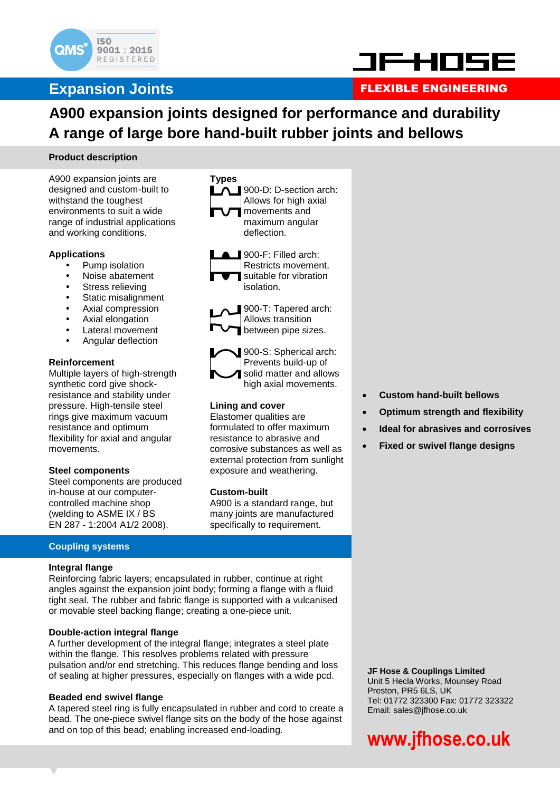



### **Expansion Joints FLEXIBLE ENGINEERING**

### **A900 expansion joints designed for performance and durability A range of large bore hand-built rubber joints and bellows**

900-D: D-section arch: Allows for high axial movements and maximum angular

> 900-F: Filled arch: Restricts movement, suitable for vibration

900-T: Tapered arch:

deflection.

isolation.

**Types**

### **Product description**

A900 expansion joints are designed and custom-built to withstand the toughest environments to suit a wide range of industrial applications and working conditions.

### **Applications**

- Pump isolation
- Noise abatement
- Stress relieving
- Static misalignment
- Axial compression
- Axial elongation
- Lateral movement
- Angular deflection

### **Reinforcement**

Multiple layers of high-strength synthetic cord give shockresistance and stability under pressure. High-tensile steel rings give maximum vacuum resistance and optimum flexibility for axial and angular movements.

### **Steel components**

Steel components are produced in-house at our computercontrolled machine shop (welding to ASME IX / BS EN 287 - 1:2004 A1/2 2008).

### Allows transition between pipe sizes. 900-S: Spherical arch: Prevents build-up of solid matter and allows high axial movements. **Lining and cover** Elastomer qualities are

formulated to offer maximum resistance to abrasive and corrosive substances as well as external protection from sunlight exposure and weathering.

### **Custom-built**

A900 is a standard range, but many joints are manufactured specifically to requirement.

### **Coupling systems**

### **Integral flange**

Reinforcing fabric layers; encapsulated in rubber, continue at right angles against the expansion joint body; forming a flange with a fluid tight seal. The rubber and fabric flange is supported with a vulcanised or movable steel backing flange; creating a one-piece unit.

### **Double-action integral flange**

A further development of the integral flange; integrates a steel plate within the flange. This resolves problems related with pressure pulsation and/or end stretching. This reduces flange bending and loss of sealing at higher pressures, especially on flanges with a wide pcd.

### **Beaded end swivel flange**

A tapered steel ring is fully encapsulated in rubber and cord to create a bead. The one-piece swivel flange sits on the body of the hose against and on top of this bead; enabling increased end-loading.

- **Custom hand-built bellows**
- **Optimum strength and flexibility**
- **Ideal for abrasives and corrosives**
- **Fixed or swivel flange designs**

**JF Hose & Couplings Limited** Unit 5 Hecla Works, Mounsey Road Preston, PR5 6LS, UK Tel: 01772 323300 Fax: 01772 323322 Email: sales@jfhose.co.uk

# **www.jfhose.co.uk**